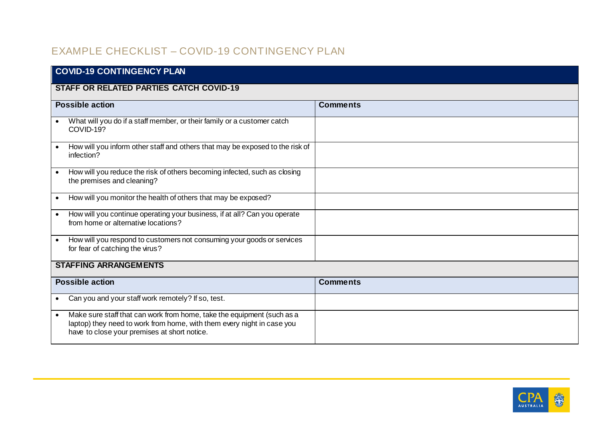## EXAMPLE CHECKLIST – COVID-19 CONTINGENCY PLAN

| <b>COVID-19 CONTINGENCY PLAN</b>                                                                                                                                                                              |                 |  |  |
|---------------------------------------------------------------------------------------------------------------------------------------------------------------------------------------------------------------|-----------------|--|--|
| <b>STAFF OR RELATED PARTIES CATCH COVID-19</b>                                                                                                                                                                |                 |  |  |
| <b>Possible action</b>                                                                                                                                                                                        | <b>Comments</b> |  |  |
| What will you do if a staff member, or their family or a customer catch<br>COVID-19?                                                                                                                          |                 |  |  |
| How will you inform other staff and others that may be exposed to the risk of<br>$\bullet$<br>infection?                                                                                                      |                 |  |  |
| How will you reduce the risk of others becoming infected, such as closing<br>$\bullet$<br>the premises and cleaning?                                                                                          |                 |  |  |
| How will you monitor the health of others that may be exposed?<br>$\bullet$                                                                                                                                   |                 |  |  |
| How will you continue operating your business, if at all? Can you operate<br>$\bullet$<br>from home or alternative locations?                                                                                 |                 |  |  |
| How will you respond to customers not consuming your goods or services<br>$\bullet$<br>for fear of catching the virus?                                                                                        |                 |  |  |
| <b>STAFFING ARRANGEMENTS</b>                                                                                                                                                                                  |                 |  |  |
| <b>Possible action</b>                                                                                                                                                                                        | <b>Comments</b> |  |  |
| Can you and your staff work remotely? If so, test.<br>$\bullet$                                                                                                                                               |                 |  |  |
| Make sure staff that can work from home, take the equipment (such as a<br>$\bullet$<br>laptop) they need to work from home, with them every night in case you<br>have to close your premises at short notice. |                 |  |  |

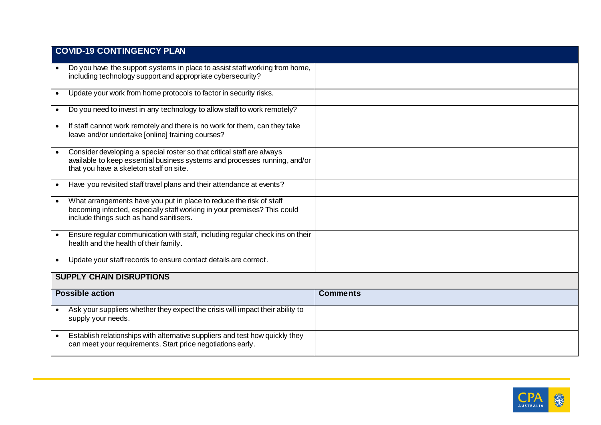|           | <b>COVID-19 CONTINGENCY PLAN</b>                                                                                                                                                                |                 |  |
|-----------|-------------------------------------------------------------------------------------------------------------------------------------------------------------------------------------------------|-----------------|--|
| $\bullet$ | Do you have the support systems in place to assist staff working from home,<br>including technology support and appropriate cybersecurity?                                                      |                 |  |
| $\bullet$ | Update your work from home protocols to factor in security risks.                                                                                                                               |                 |  |
| $\bullet$ | Do you need to invest in any technology to allow staff to work remotely?                                                                                                                        |                 |  |
| $\bullet$ | If staff cannot work remotely and there is no work for them, can they take<br>leave and/or undertake [online] training courses?                                                                 |                 |  |
|           | Consider developing a special roster so that critical staff are always<br>available to keep essential business systems and processes running, and/or<br>that you have a skeleton staff on site. |                 |  |
|           | Have you revisited staff travel plans and their attendance at events?                                                                                                                           |                 |  |
|           | What arrangements have you put in place to reduce the risk of staff<br>becoming infected, especially staff working in your premises? This could<br>include things such as hand sanitisers.      |                 |  |
|           | Ensure regular communication with staff, including regular check ins on their<br>health and the health of their family.                                                                         |                 |  |
|           | Update your staff records to ensure contact details are correct.                                                                                                                                |                 |  |
|           | <b>SUPPLY CHAIN DISRUPTIONS</b>                                                                                                                                                                 |                 |  |
|           | <b>Possible action</b>                                                                                                                                                                          | <b>Comments</b> |  |
| $\bullet$ | Ask your suppliers whether they expect the crisis will impact their ability to<br>supply your needs.                                                                                            |                 |  |
| $\bullet$ | Establish relationships with alternative suppliers and test how quickly they<br>can meet your requirements. Start price negotiations early.                                                     |                 |  |

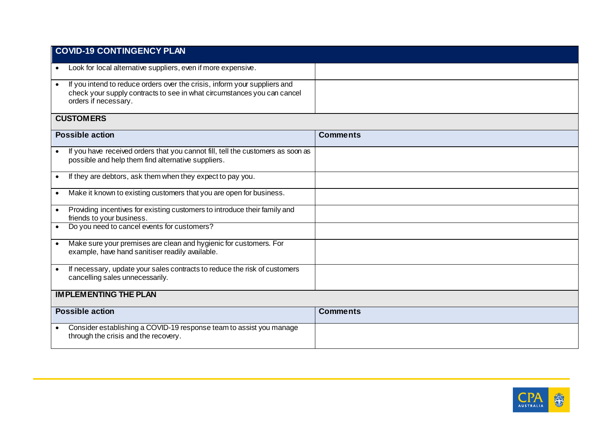| <b>COVID-19 CONTINGENCY PLAN</b>                                                                                                                                                          |                 |  |  |  |
|-------------------------------------------------------------------------------------------------------------------------------------------------------------------------------------------|-----------------|--|--|--|
| Look for local alternative suppliers, even if more expensive.                                                                                                                             |                 |  |  |  |
| If you intend to reduce orders over the crisis, inform your suppliers and<br>$\bullet$<br>check your supply contracts to see in what circumstances you can cancel<br>orders if necessary. |                 |  |  |  |
| <b>CUSTOMERS</b>                                                                                                                                                                          |                 |  |  |  |
| <b>Possible action</b>                                                                                                                                                                    | <b>Comments</b> |  |  |  |
| If you have received orders that you cannot fill, tell the customers as soon as<br>$\bullet$<br>possible and help them find alternative suppliers.                                        |                 |  |  |  |
| If they are debtors, ask them when they expect to pay you.<br>$\bullet$                                                                                                                   |                 |  |  |  |
| Make it known to existing customers that you are open for business.<br>$\bullet$                                                                                                          |                 |  |  |  |
| Providing incentives for existing customers to introduce their family and<br>$\bullet$<br>friends to your business.                                                                       |                 |  |  |  |
| Do you need to cancel events for customers?<br>$\bullet$                                                                                                                                  |                 |  |  |  |
| Make sure your premises are clean and hygienic for customers. For<br>$\bullet$<br>example, have hand sanitiser readily available.                                                         |                 |  |  |  |
| If necessary, update your sales contracts to reduce the risk of customers<br>cancelling sales unnecessarily.                                                                              |                 |  |  |  |
| <b>IMPLEMENTING THE PLAN</b>                                                                                                                                                              |                 |  |  |  |
| <b>Possible action</b>                                                                                                                                                                    | <b>Comments</b> |  |  |  |
| Consider establishing a COVID-19 response team to assist you manage<br>$\bullet$<br>through the crisis and the recovery.                                                                  |                 |  |  |  |